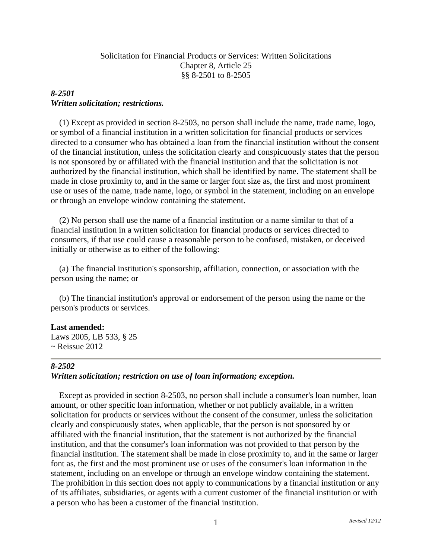# Solicitation for Financial Products or Services: Written Solicitations Chapter 8, Article 25 §§ 8-2501 to 8-2505

# *8-2501 Written solicitation; restrictions.*

 (1) Except as provided in section 8-2503, no person shall include the name, trade name, logo, or symbol of a financial institution in a written solicitation for financial products or services directed to a consumer who has obtained a loan from the financial institution without the consent of the financial institution, unless the solicitation clearly and conspicuously states that the person is not sponsored by or affiliated with the financial institution and that the solicitation is not authorized by the financial institution, which shall be identified by name. The statement shall be made in close proximity to, and in the same or larger font size as, the first and most prominent use or uses of the name, trade name, logo, or symbol in the statement, including on an envelope or through an envelope window containing the statement.

 (2) No person shall use the name of a financial institution or a name similar to that of a financial institution in a written solicitation for financial products or services directed to consumers, if that use could cause a reasonable person to be confused, mistaken, or deceived initially or otherwise as to either of the following:

 (a) The financial institution's sponsorship, affiliation, connection, or association with the person using the name; or

 (b) The financial institution's approval or endorsement of the person using the name or the person's products or services.

## **Last amended:**

Laws 2005, LB 533, § 25  $\sim$  Reissue 2012

## *8-2502*

## *Written solicitation; restriction on use of loan information; exception.*

 Except as provided in section 8-2503, no person shall include a consumer's loan number, loan amount, or other specific loan information, whether or not publicly available, in a written solicitation for products or services without the consent of the consumer, unless the solicitation clearly and conspicuously states, when applicable, that the person is not sponsored by or affiliated with the financial institution, that the statement is not authorized by the financial institution, and that the consumer's loan information was not provided to that person by the financial institution. The statement shall be made in close proximity to, and in the same or larger font as, the first and the most prominent use or uses of the consumer's loan information in the statement, including on an envelope or through an envelope window containing the statement. The prohibition in this section does not apply to communications by a financial institution or any of its affiliates, subsidiaries, or agents with a current customer of the financial institution or with a person who has been a customer of the financial institution.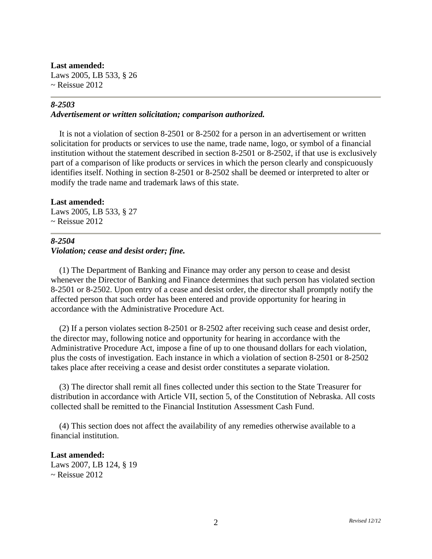#### **Last amended:**

Laws 2005, LB 533, § 26  $\sim$  Reissue 2012

#### *8-2503*

#### *Advertisement or written solicitation; comparison authorized.*

 It is not a violation of section 8-2501 or 8-2502 for a person in an advertisement or written solicitation for products or services to use the name, trade name, logo, or symbol of a financial institution without the statement described in section 8-2501 or 8-2502, if that use is exclusively part of a comparison of like products or services in which the person clearly and conspicuously identifies itself. Nothing in section 8-2501 or 8-2502 shall be deemed or interpreted to alter or modify the trade name and trademark laws of this state.

#### **Last amended:**

Laws 2005, LB 533, § 27 ~ Reissue 2012

#### *8-2504*

## *Violation; cease and desist order; fine.*

 (1) The Department of Banking and Finance may order any person to cease and desist whenever the Director of Banking and Finance determines that such person has violated section 8-2501 or 8-2502. Upon entry of a cease and desist order, the director shall promptly notify the affected person that such order has been entered and provide opportunity for hearing in accordance with the Administrative Procedure Act.

 (2) If a person violates section 8-2501 or 8-2502 after receiving such cease and desist order, the director may, following notice and opportunity for hearing in accordance with the Administrative Procedure Act, impose a fine of up to one thousand dollars for each violation, plus the costs of investigation. Each instance in which a violation of section 8-2501 or 8-2502 takes place after receiving a cease and desist order constitutes a separate violation.

 (3) The director shall remit all fines collected under this section to the State Treasurer for distribution in accordance with Article VII, section 5, of the Constitution of Nebraska. All costs collected shall be remitted to the Financial Institution Assessment Cash Fund.

 (4) This section does not affect the availability of any remedies otherwise available to a financial institution.

**Last amended:** Laws 2007, LB 124, § 19  $\sim$  Reissue 2012